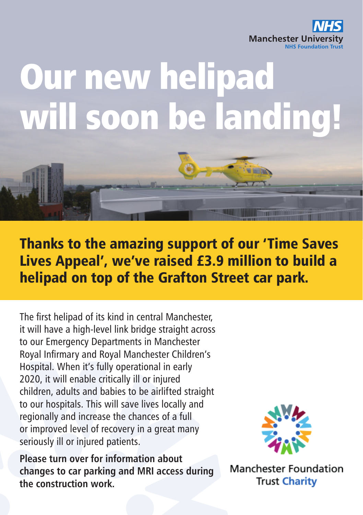

## Our new helipad will soon be landing!

Thanks to the amazing support of our 'Time Saves Lives Appeal', we've raised £3.9 million to build a helipad on top of the Grafton Street car park.

The first helipad of its kind in central Manchester, it will have a high-level link bridge straight across to our Emergency Departments in Manchester Royal Infirmary and Royal Manchester Children's Hospital. When it's fully operational in early 2020, it will enable critically ill or injured children, adults and babies to be airlifted straight to our hospitals. This will save lives locally and regionally and increase the chances of a full or improved level of recovery in a great many seriously ill or injured patients.

**Please turn over for information about changes to car parking and MRI access during the construction work.**



**THE LIGHT** 

**Manchester Foundation Trust Charity**